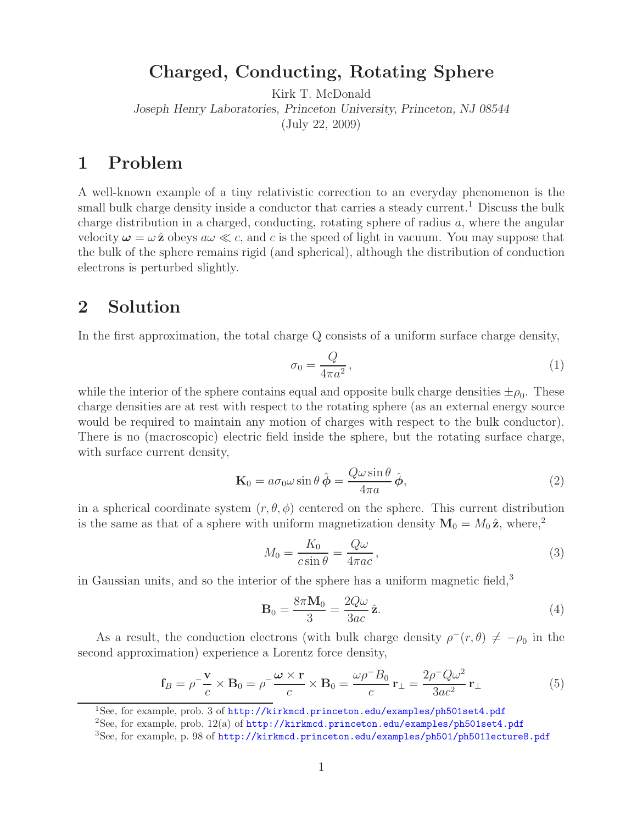## **Charged, Conducting, Rotating Sphere**

Kirk T. McDonald *Joseph Henry Laboratories, Princeton University, Princeton, NJ 08544* (July 22, 2009)

## **1 Problem**

A well-known example of a tiny relativistic correction to an everyday phenomenon is the small bulk charge density inside a conductor that carries a steady current.<sup>1</sup> Discuss the bulk charge distribution in a charged, conducting, rotating sphere of radius a, where the angular velocity  $\omega = \omega \hat{z}$  obeys  $a\omega \ll c$ , and c is the speed of light in vacuum. You may suppose that the bulk of the sphere remains rigid (and spherical), although the distribution of conduction electrons is perturbed slightly.

## **2 Solution**

In the first approximation, the total charge Q consists of a uniform surface charge density,

$$
\sigma_0 = \frac{Q}{4\pi a^2},\tag{1}
$$

while the interior of the sphere contains equal and opposite bulk charge densities  $\pm \rho_0$ . These charge densities are at rest with respect to the rotating sphere (as an external energy source would be required to maintain any motion of charges with respect to the bulk conductor). There is no (macroscopic) electric field inside the sphere, but the rotating surface charge, with surface current density,

$$
\mathbf{K}_0 = a\sigma_0 \omega \sin \theta \,\hat{\boldsymbol{\phi}} = \frac{Q\omega \sin \theta}{4\pi a} \,\hat{\boldsymbol{\phi}},\tag{2}
$$

in a spherical coordinate system  $(r, \theta, \phi)$  centered on the sphere. This current distribution is the same as that of a sphere with uniform magnetization density  $M_0 = M_0 \hat{z}$ , where,<sup>2</sup>

$$
M_0 = \frac{K_0}{c \sin \theta} = \frac{Q\omega}{4\pi ac},\tag{3}
$$

in Gaussian units, and so the interior of the sphere has a uniform magnetic field,<sup>3</sup>

$$
\mathbf{B}_0 = \frac{8\pi \mathbf{M}_0}{3} = \frac{2Q\omega}{3ac} \hat{\mathbf{z}}.\tag{4}
$$

As a result, the conduction electrons (with bulk charge density  $\rho^-(r,\theta) \neq -\rho_0$  in the second approximation) experience a Lorentz force density,

$$
\mathbf{f}_B = \rho^{-\frac{\mathbf{V}}{c}} \times \mathbf{B}_0 = \rho^{-\frac{\omega \times \mathbf{r}}{c}} \times \mathbf{B}_0 = \frac{\omega \rho^{-\frac{D}{c}}}{c} \mathbf{r}_{\perp} = \frac{2\rho^{-\frac{D}{c}}}{3ac^2} \mathbf{r}_{\perp}
$$
(5)

<sup>&</sup>lt;sup>1</sup>See, for example, prob. 3 of http://kirkmcd.princeton.edu/examples/ph501set4.pdf

<sup>&</sup>lt;sup>2</sup>See, for example, prob.  $12(a)$  of http://kirkmcd.princeton.edu/examples/ph501set4.pdf

<sup>3</sup>See, for example, p. 98 of http://kirkmcd.princeton.edu/examples/ph501/ph501lecture8.pdf